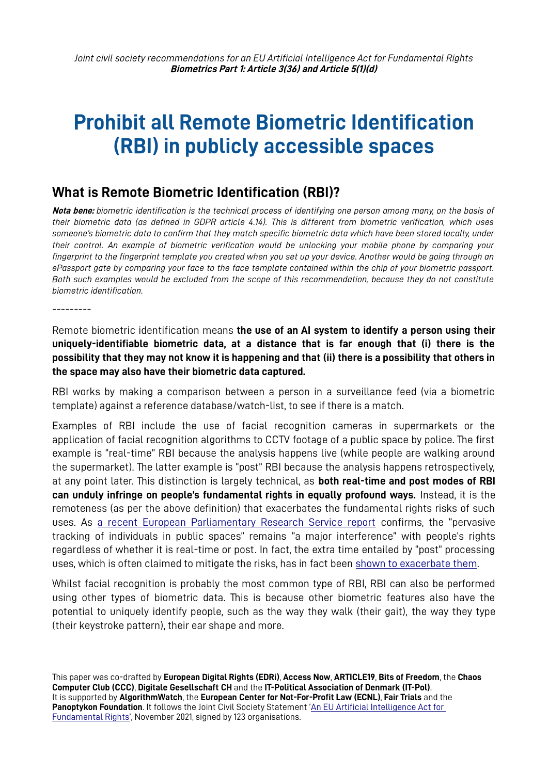# **Prohibit all Remote Biometric Identification (RBI) in publicly accessible spaces**

## **What is Remote Biometric Identification (RBI)?**

**Nota bene:** *biometric identification is the technical process of identifying one person among many, on the basis of their biometric data (as defined in GDPR article 4.14). This is different from biometric verification, which uses someone's biometric data to confirm that they match specific biometric data which have been stored locally, under their control. An example of biometric verification would be unlocking your mobile phone by comparing your fingerprint to the fingerprint template you created when you set up your device. Another would be going through an ePassport gate by comparing your face to the face template contained within the chip of your biometric passport. Both such examples would be excluded from the scope of this recommendation, because they do not constitute biometric identification.*

Remote biometric identification means **the use of an AI system to identify a person using their uniquely-identifiable biometric data, at a distance that is far enough that (i) there is the possibility that they may not know it is happening and that (ii) there is a possibility that others in the space may also have their biometric data captured.**

RBI works by making a comparison between a person in a surveillance feed (via a biometric template) against a reference database/watch-list, to see if there is a match.

Examples of RBI include the use of facial recognition cameras in supermarkets or the application of facial recognition algorithms to CCTV footage of a public space by police. The first example is "real-time" RBI because the analysis happens live (while people are walking around the supermarket). The latter example is "post" RBI because the analysis happens retrospectively, at any point later. This distinction is largely technical, as **both real-time and post modes of RBI can unduly infringe on people's fundamental rights in equally profound ways.** Instead, it is the remoteness (as per the above definition) that exacerbates the fundamental rights risks of such uses. As [a recent European Parliamentary Research Service report](https://www.europarl.europa.eu/RegData/etudes/STUD/2021/697191/EPRS_STU(2021)697191_EN.pdf) confirms, the "pervasive tracking of individuals in public spaces" remains "a major interference" with people's rights regardless of whether it is real-time or post. In fact, the extra time entailed by "post" processing uses, which is often claimed to mitigate the risks, has in fact been [shown to exacerbate them.](https://www.flawedfacedata.com/)

Whilst facial recognition is probably the most common type of RBI, RBI can also be performed using other types of biometric data. This is because other biometric features also have the potential to uniquely identify people, such as the way they walk (their gait), the way they type (their keystroke pattern), their ear shape and more.

This paper was co-drafted by **European Digital Rights (EDRi)**, **Access Now**, **ARTICLE19**, **Bits of Freedom**, the **Chaos Computer Club (CCC)**, **Digitale Gesellschaft CH** and the **IT-Political Association of Denmark (IT-Pol)**. It is supported by **AlgorithmWatch**, the **European Center for Not-For-Profit Law (ECNL)**, **Fair Trials** and the Panoptykon Foundation. It follows the Joint Civil Society Statement 'An EU Artificial Intelligence Act for [Fundamental Rights'](https://edri.org/wp-content/uploads/2021/12/Political-statement-on-AI-Act.pdf), November 2021, signed by 123 organisations.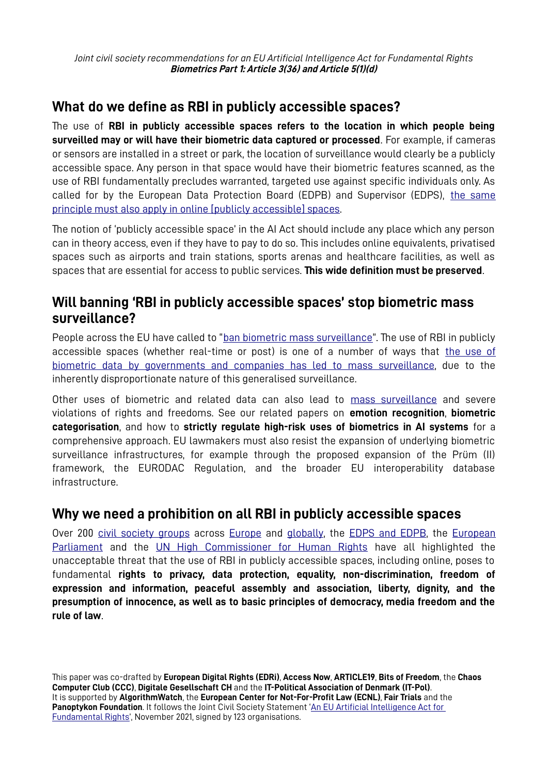*Joint civil society recommendations for an EU Artificial Intelligence Act for Fundamental Rights* **Biometrics Part 1: Article 3(36) and Article 5(1)(d)**

## **What do we define as RBI in publicly accessible spaces?**

The use of **RBI in publicly accessible spaces refers to the location in which people being surveilled may or will have their biometric data captured or processed**. For example, if cameras or sensors are installed in a street or park, the location of surveillance would clearly be a publicly accessible space. Any person in that space would have their biometric features scanned, as the use of RBI fundamentally precludes warranted, targeted use against specific individuals only. As called for by the European Data Protection Board (EDPB) and Supervisor (EDPS), [the same](https://edpb.europa.eu/system/files/2021-06/edpb-edps_joint_opinion_ai_regulation_en.pdf) principle must also apply in online [publicly accessible] spaces.

The notion of 'publicly accessible space' in the AI Act should include any place which any person can in theory access, even if they have to pay to do so. This includes online equivalents, privatised spaces such as airports and train stations, sports arenas and healthcare facilities, as well as spaces that are essential for access to public services. **This wide definition must be preserved**.

## **Will banning 'RBI in publicly accessible spaces' stop biometric mass surveillance?**

People across the EU have called to "[ban biometric mass surveillance](https://reclaimyourface.eu/)". The use of RBI in publicly accessible spaces (whether real-time or post) is one of a number of ways that [the use of](https://edri.org/our-work/new-edri-report-reveals-depths-of-biometric-mass-surveillance-in-germany-the-netherlands-and-poland/) biometric data by governments and companies has led to [mass surveillance](https://edri.org/our-work/new-edri-report-reveals-depths-of-biometric-mass-surveillance-in-germany-the-netherlands-and-poland/), due to the inherently disproportionate nature of this generalised surveillance.

Other uses of biometric and related data can also lead to [mass surveillance](https://edri.org/our-work/blog-ban-biometric-mass-surveillance/) and severe violations of rights and freedoms. See our related papers on **emotion recognition**, **biometric categorisation**, and how to **strictly regulate high-risk uses of biometrics in AI systems** for a comprehensive approach. EU lawmakers must also resist the expansion of underlying biometric surveillance infrastructures, for example through the proposed expansion of the Prüm (II) framework, the EURODAC Regulation, and the broader EU interoperability database infrastructure.

### **Why we need a prohibition on all RBI in publicly accessible spaces**

Over 200 civil society groups across [Europe](https://reclaimyourface.eu/) and [globally](https://www.accessnow.org/ban-biometric-surveillance/), the [EDPS](https://edpb.europa.eu/system/files/2021-06/edpb-edps_joint_opinion_ai_regulation_en.pdf) [and](https://edpb.europa.eu/system/files/2021-06/edpb-edps_joint_opinion_ai_regulation_en.pdf) [EDPB](https://edpb.europa.eu/system/files/2021-06/edpb-edps_joint_opinion_ai_regulation_en.pdf), the [European](https://edri.org/our-work/celebrating-a-strong-european-parliament-stance-on-ai-in-law-enforcement/) [Parliament](https://edri.org/our-work/celebrating-a-strong-european-parliament-stance-on-ai-in-law-enforcement/) and the [UN High Commissioner for Human Rights](https://www.ohchr.org/EN/NewsEvents/Pages/DisplayNews.aspx?NewsID=27469&LangID=E) have all highlighted the unacceptable threat that the use of RBI in publicly accessible spaces, including online, poses to fundamental **rights to privacy, data protection, equality, non-discrimination, freedom of expression and information, peaceful assembly and association, liberty, dignity, and the presumption of innocence, as well as to basic principles of democracy, media freedom and the rule of law**.

This paper was co-drafted by **European Digital Rights (EDRi)**, **Access Now**, **ARTICLE19**, **Bits of Freedom**, the **Chaos Computer Club (CCC)**, **Digitale Gesellschaft CH** and the **IT-Political Association of Denmark (IT-Pol)**. It is supported by **AlgorithmWatch**, the **European Center for Not-For-Profit Law (ECNL)**, **Fair Trials** and the **Panoptykon Foundation**. It follows the Joint Civil Society Statement '[An EU Artificial Intelligence Act for](https://edri.org/wp-content/uploads/2021/12/Political-statement-on-AI-Act.pdf)  [Fundamental Rights'](https://edri.org/wp-content/uploads/2021/12/Political-statement-on-AI-Act.pdf), November 2021, signed by 123 organisations.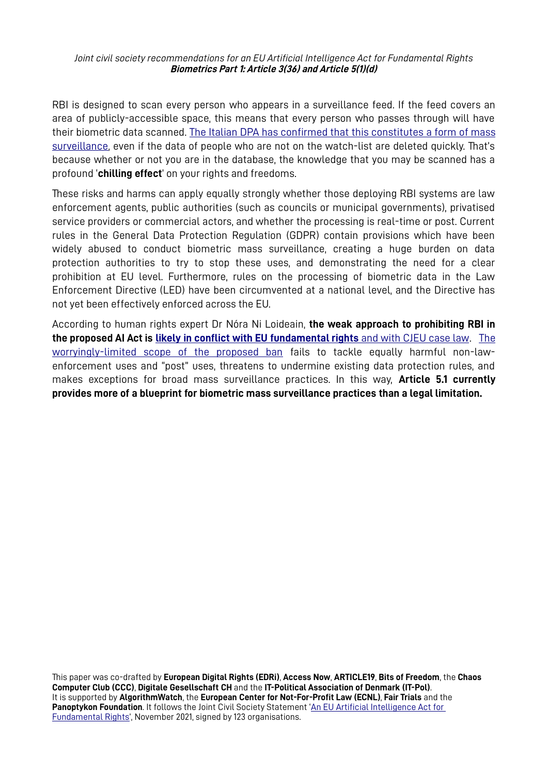*Joint civil society recommendations for an EU Artificial Intelligence Act for Fundamental Rights* **Biometrics Part 1: Article 3(36) and Article 5(1)(d)**

RBI is designed to scan every person who appears in a surveillance feed. If the feed covers an area of publicly-accessible space, this means that every person who passes through will have their biometric data scanned. The Italian DPA has confirmed that this constitutes a form of mass [surveillance,](https://www.garanteprivacy.it/web/guest/home/docweb/-/docweb-display/docweb/9575842) even if the data of people who are not on the watch-list are deleted quickly. That's because whether or not you are in the database, the knowledge that you may be scanned has a profound '**chilling effect**' on your rights and freedoms.

These risks and harms can apply equally strongly whether those deploying RBI systems are law enforcement agents, public authorities (such as councils or municipal governments), privatised service providers or commercial actors, and whether the processing is real-time or post. Current rules in the General Data Protection Regulation (GDPR) contain provisions which have been widely abused to conduct biometric mass surveillance, creating a huge burden on data protection authorities to try to stop these uses, and demonstrating the need for a clear prohibition at EU level. Furthermore, rules on the processing of biometric data in the Law Enforcement Directive (LED) have been circumvented at a national level, and the Directive has not yet been effectively enforced across the EU.

According to human rights expert Dr Nóra Ni Loideain, **the weak approach to prohibiting RBI in the proposed AI Act is [likely in conflict with EU fundamental rights](https://infolawcentre.blogs.sas.ac.uk/2021/08/04/a-trustworthy-framework-that-respects-fundamental-rights-the-draft-eu-ai-act-and-police-use-of-biometrics/)** [and with CJEU case law](https://infolawcentre.blogs.sas.ac.uk/2021/08/04/a-trustworthy-framework-that-respects-fundamental-rights-the-draft-eu-ai-act-and-police-use-of-biometrics/). [T he](https://edri.org/our-work/edri-submits-response-to-the-european-commission-ai-adoption-consultation/) worryingly-limited scope of the proposed ban fails to tackle equally harmful non-lawenforcement uses and "post" uses, threatens to undermine existing data protection rules, and makes exceptions for broad mass surveillance practices. In this way, **Article 5.1 currently provides more of a blueprint for biometric mass surveillance practices than a legal limitation.**

This paper was co-drafted by **European Digital Rights (EDRi)**, **Access Now**, **ARTICLE19**, **Bits of Freedom**, the **Chaos Computer Club (CCC)**, **Digitale Gesellschaft CH** and the **IT-Political Association of Denmark (IT-Pol)**. It is supported by **AlgorithmWatch**, the **European Center for Not-For-Profit Law (ECNL)**, **Fair Trials** and the **Panoptykon Foundation**. It follows the Joint Civil Society Statement '[An EU Artificial Intelligence Act for](https://edri.org/wp-content/uploads/2021/12/Political-statement-on-AI-Act.pdf)  [Fundamental Rights'](https://edri.org/wp-content/uploads/2021/12/Political-statement-on-AI-Act.pdf), November 2021, signed by 123 organisations.